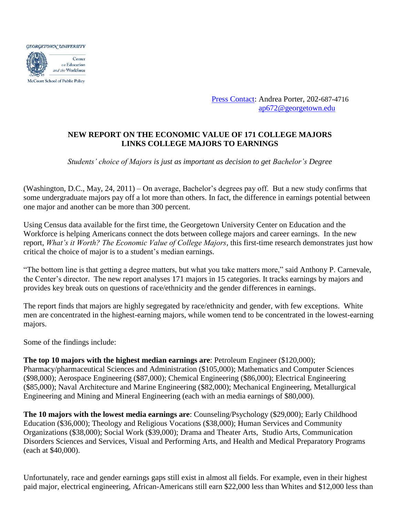

[Press Contact:](http://cew.georgetown.edu/media/contact/) Andrea Porter, 202-687-4716 [ap672@georgetown.edu](mailto:ap672@georgetown.edu)

## **NEW REPORT ON THE ECONOMIC VALUE OF 171 COLLEGE MAJORS LINKS COLLEGE MAJORS TO EARNINGS**

*Students' choice of Majors is just as important as decision to get Bachelor's Degree*

(Washington, D.C., May, 24, 2011) – On average, Bachelor's degrees pay off. But a new study confirms that some undergraduate majors pay off a lot more than others. In fact, the difference in earnings potential between one major and another can be more than 300 percent.

Using Census data available for the first time, the Georgetown University Center on Education and the Workforce is helping Americans connect the dots between college majors and career earnings. In the new report, *What's it Worth? The Economic Value of College Majors,* this first-time research demonstrates just how critical the choice of major is to a student's median earnings.

"The bottom line is that getting a degree matters, but what you take matters more," said Anthony P. Carnevale, the Center's director. The new report analyses 171 majors in 15 categories. It tracks earnings by majors and provides key break outs on questions of race/ethnicity and the gender differences in earnings.

The report finds that majors are highly segregated by race/ethnicity and gender, with few exceptions. White men are concentrated in the highest-earning majors, while women tend to be concentrated in the lowest-earning majors.

Some of the findings include:

**The top 10 majors with the highest median earnings are**: Petroleum Engineer (\$120,000); Pharmacy/pharmaceutical Sciences and Administration (\$105,000); Mathematics and Computer Sciences (\$98,000); Aerospace Engineering (\$87,000); Chemical Engineering (\$86,000); Electrical Engineering (\$85,000); Naval Architecture and Marine Engineering (\$82,000); Mechanical Engineering, Metallurgical Engineering and Mining and Mineral Engineering (each with an media earnings of \$80,000).

**The 10 majors with the lowest media earnings are**: Counseling/Psychology (\$29,000); Early Childhood Education (\$36,000); Theology and Religious Vocations (\$38,000); Human Services and Community Organizations (\$38,000); Social Work (\$39,000); Drama and Theater Arts, Studio Arts, Communication Disorders Sciences and Services, Visual and Performing Arts, and Health and Medical Preparatory Programs (each at \$40,000).

Unfortunately, race and gender earnings gaps still exist in almost all fields. For example, even in their highest paid major, electrical engineering, African-Americans still earn \$22,000 less than Whites and \$12,000 less than